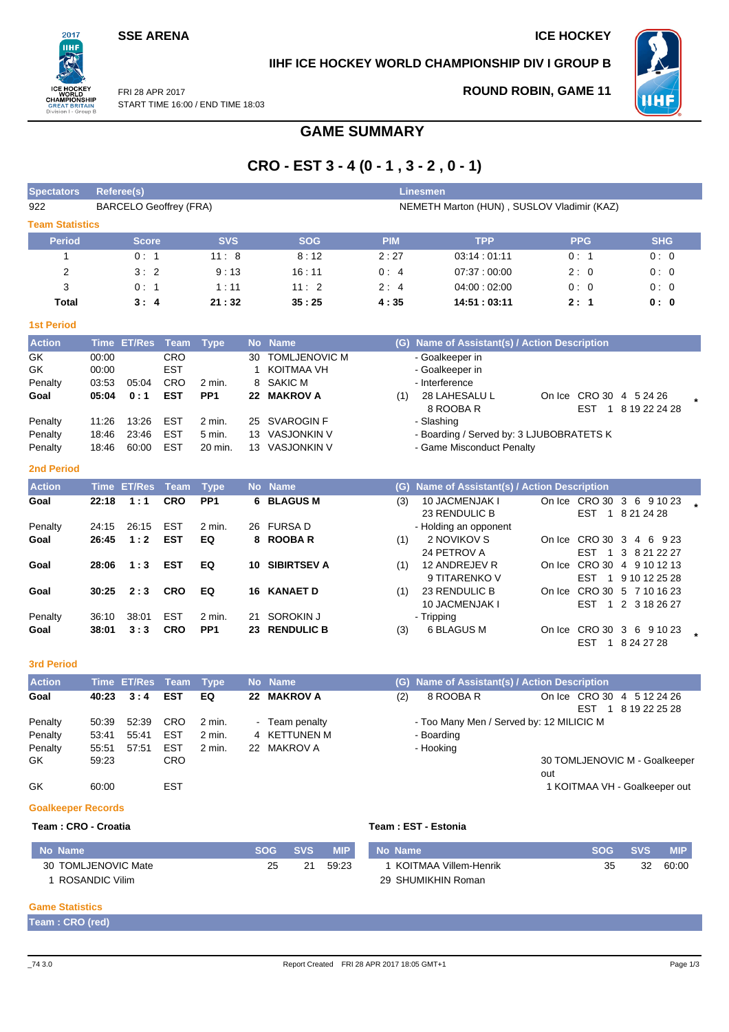## **SSE ARENA ICE HOCKEY**

 $2017$ **IIHF** 

**REATI** on I - Gro **IIHF ICE HOCKEY WORLD CHAMPIONSHIP DIV I GROUP B**



**ROUND ROBIN, GAME 11**

FRI 28 APR 2017 START TIME 16:00 / END TIME 18:03

# **GAME SUMMARY**

# **CRO - EST 3 - 4 (0 - 1 , 3 - 2 , 0 - 1)**

| <b>Spectators</b>      | <b>Referee(s)</b>             |            |            | Linesmen   |                                            |            |            |
|------------------------|-------------------------------|------------|------------|------------|--------------------------------------------|------------|------------|
| 922                    | <b>BARCELO Geoffrey (FRA)</b> |            |            |            | NEMETH Marton (HUN), SUSLOV Vladimir (KAZ) |            |            |
| <b>Team Statistics</b> |                               |            |            |            |                                            |            |            |
| <b>Period</b>          | <b>Score</b>                  | <b>SVS</b> | <b>SOG</b> | <b>PIM</b> | <b>TPP</b>                                 | <b>PPG</b> | <b>SHG</b> |
|                        | 0:1                           | 11:8       | 8:12       | 2:27       | 03:14:01:11                                | 0:1        | 0:0        |
| 2                      | 3:2                           | 9:13       | 16:11      | 0:4        | 07.37:00.00                                | 2:0        | 0:0        |
| 3                      | 0:1                           | 1:11       | 11:2       | 2:4        | 04:00:02:00                                | 0:0        | 0:0        |
| Total                  | 3:4                           | 21:32      | 35:25      | 4:35       | 14:51 : 03:11                              | 2:1        | 0: 0       |
| <b>1st Period</b>      |                               |            |            |            |                                            |            |            |

| <b>Action</b> |       | Time ET/Res Team Type |            |                 |    | No Name              |     | (G) Name of Assistant(s) / Action Description |     |                         |  |
|---------------|-------|-----------------------|------------|-----------------|----|----------------------|-----|-----------------------------------------------|-----|-------------------------|--|
| GK.           | 00:00 |                       | <b>CRO</b> |                 | 30 | <b>TOMLJENOVIC M</b> |     | - Goalkeeper in                               |     |                         |  |
| GK            | 00:00 |                       | <b>EST</b> |                 |    | KOITMAA VH           |     | - Goalkeeper in                               |     |                         |  |
| Penalty       | 03:53 | 05:04                 | <b>CRO</b> | 2 min.          |    | 8 SAKIC M            |     | - Interference                                |     |                         |  |
| Goal          | 05:04 | 0:1                   | <b>EST</b> | PP <sub>1</sub> |    | 22 MAKROV A          | (1) | 28 LAHESALU L                                 |     | On Ice CRO 30 4 5 24 26 |  |
|               |       |                       |            |                 |    |                      |     | 8 ROOBA R                                     | EST | 8 19 22 24 28           |  |
| Penalty       | 11:26 | 13:26                 | EST        | $2$ min.        |    | 25 SVAROGIN F        |     | - Slashing                                    |     |                         |  |
| Penalty       | 18:46 | 23:46                 | EST        | 5 min.          |    | 13 VASJONKIN V       |     | - Boarding / Served by: 3 LJUBOBRATETS K      |     |                         |  |
| Penalty       | 18:46 | 60:00                 | <b>EST</b> | 20 min.         | 13 | VASJONKIN V          |     | - Game Misconduct Penalty                     |     |                         |  |
| _____         |       |                       |            |                 |    |                      |     |                                               |     |                         |  |

| -- | $\mathbb{R}^n$ | ۰. | ٠.<br>v | ., |  |
|----|----------------|----|---------|----|--|
|    |                |    |         |    |  |

| <b>Action</b> | <b>Time</b> | ET/Res Team |            | Type            |     | No Name            |     | (G) Name of Assistant(s) / Action Description |        |                              |                            |  |
|---------------|-------------|-------------|------------|-----------------|-----|--------------------|-----|-----------------------------------------------|--------|------------------------------|----------------------------|--|
| Goal          | 22:18       | 1:1         | <b>CRO</b> | PP <sub>1</sub> |     | 6 BLAGUS M         | (3) | <b>10 JACMENJAK I</b>                         |        |                              | On Ice CRO 30 3 6 9 10 23  |  |
|               |             |             |            |                 |     |                    |     | 23 RENDULIC B                                 |        | <b>EST</b><br>1.             | 8 21 24 28                 |  |
| Penalty       | 24:15       | 26:15       | <b>EST</b> | $2$ min.        |     | 26 FURSA D         |     | - Holding an opponent                         |        |                              |                            |  |
| Goal          | 26:45       | 1:2         | <b>EST</b> | EQ              |     | 8 ROOBAR           | (1) | 2 NOVIKOV S                                   |        | On Ice CRO 30 3 4            | 6923                       |  |
|               |             |             |            |                 |     |                    |     | 24 PETROV A                                   |        | <b>FST</b>                   | 1 3 8 21 22 27             |  |
| Goal          | 28:06       | 1:3         | <b>EST</b> | EQ              | 10. | <b>SIBIRTSEV A</b> | (1) | 12 ANDREJEV R                                 | On Ice |                              | CRO 30 4 9 10 12 13        |  |
|               |             |             |            |                 |     |                    |     | 9 TITARENKO V                                 |        | <b>FST</b><br>$\blacksquare$ | 9 10 12 25 28              |  |
| Goal          | 30:25       | 2:3         | <b>CRO</b> | EQ              |     | <b>16 KANAET D</b> | (1) | 23 RENDULIC B                                 |        |                              | On Ice CRO 30 5 7 10 16 23 |  |
|               |             |             |            |                 |     |                    |     | <b>10 JACMENJAK I</b>                         |        | <b>EST</b>                   | 1 2 3 18 26 27             |  |
| Penalty       | 36:10       | 38:01       | <b>EST</b> | 2 min.          | 21  | SOROKIN J          |     | - Tripping                                    |        |                              |                            |  |
| Goal          | 38:01       | 3:3         | <b>CRO</b> | PP <sub>1</sub> | 23  | <b>RENDULIC B</b>  | (3) | 6 BLAGUS M                                    |        | On Ice CRO 30 3              | 6 9 10 23                  |  |
|               |             |             |            |                 |     |                    |     |                                               |        | <b>EST</b>                   | 8 24 27 28                 |  |

**3rd Period**

| <b>Action</b> |       | Time ET/Res Team Type |            |        |                | No Name      |     | (G) Name of Assistant(s) / Action Description |     |     |                               |
|---------------|-------|-----------------------|------------|--------|----------------|--------------|-----|-----------------------------------------------|-----|-----|-------------------------------|
| Goal          | 40:23 | 3:4                   | <b>EST</b> | EQ     |                | 22 MAKROV A  | (2) | 8 ROOBA R                                     |     |     | On Ice CRO 30 4 5 12 24 26    |
|               |       |                       |            |        |                |              |     |                                               |     | EST | 8 19 22 25 28                 |
| Penalty       | 50:39 | 52.39                 | <b>CRO</b> | 2 min. | $\blacksquare$ | Team penalty |     | - Too Many Men / Served by: 12 MILICIC M      |     |     |                               |
| Penalty       | 53:41 | 55:41                 | EST        | 2 min. |                | 4 KETTUNEN M |     | - Boarding                                    |     |     |                               |
| Penalty       | 55:51 | 57:51                 | <b>EST</b> | 2 min. |                | 22 MAKROV A  |     | - Hooking                                     |     |     |                               |
| GK.           | 59.23 |                       | CRO.       |        |                |              |     |                                               |     |     | 30 TOMLJENOVIC M - Goalkeeper |
|               |       |                       |            |        |                |              |     |                                               | out |     |                               |
| GK            | 60:00 |                       | EST        |        |                |              |     |                                               |     |     | 1 KOITMAA VH - Goalkeeper out |

### **Goalkeeper Records**

## **Team : CRO - Croatia Team : EST - Estonia**

| No Name             | SOG | <b>SVS</b> | <b>MIP</b> | No Name               | <b>SOG</b> | <b>SVS</b> | <b>MIP</b> |
|---------------------|-----|------------|------------|-----------------------|------------|------------|------------|
| 30 TOMLJENOVIC Mate | 25  | 21         | 59.23      | KOITMAA Villem-Henrik | 35         | 32         | 60:00      |
| ROSANDIC Vilim      |     |            |            | 29 SHUMIKHIN Roman    |            |            |            |

### **Game Statistics**

| Team: CRO (red) |  |  |
|-----------------|--|--|
|-----------------|--|--|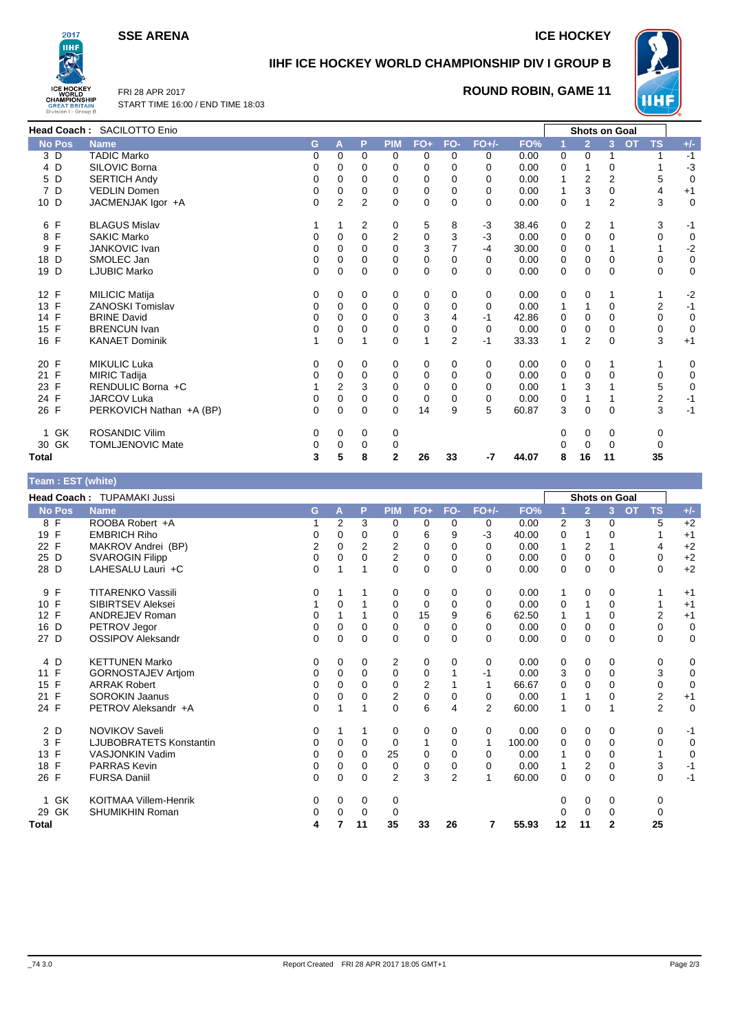**SSE ARENA ICE HOCKEY** 



# **IIHF ICE HOCKEY WORLD CHAMPIONSHIP DIV I GROUP B**



FRI 28 APR 2017 START TIME 16:00 / END TIME 18:03

## **ROUND ROBIN, GAME 11**

|                   | Head Coach: SACILOTTO Enio |   |                |                |                |          |                |          |       |              |                | <b>Shots on Goal</b> |                        |             |
|-------------------|----------------------------|---|----------------|----------------|----------------|----------|----------------|----------|-------|--------------|----------------|----------------------|------------------------|-------------|
| <b>No Pos</b>     | <b>Name</b>                | G | A              | P              | <b>PIM</b>     | $FO+$    | FO-            | $FO+/-$  | FO%   |              | $\overline{2}$ | 3                    | <b>TS</b><br><b>OT</b> | $+/-$       |
| 3 D               | <b>TADIC Marko</b>         | 0 | 0              | 0              | 0              | 0        | 0              | 0        | 0.00  | 0            | 0              |                      |                        | $-1$        |
| 4 D               | SILOVIC Borna              | 0 | 0              | 0              | $\Omega$       | 0        | 0              | $\Omega$ | 0.00  | 0            |                | 0                    |                        | $-3$        |
| 5 D               | <b>SERTICH Andy</b>        | 0 | 0              | 0              | 0              | 0        | 0              | $\Omega$ | 0.00  | 1            | 2              | $\overline{2}$       | 5                      | $\mathbf 0$ |
| 7 D               | <b>VEDLIN Domen</b>        | 0 | 0              | 0              | 0              | 0        | 0              | 0        | 0.00  | $\mathbf{1}$ | 3              | 0                    | 4                      | $+1$        |
| 10 D              | JACMENJAK Igor +A          | 0 | $\overline{2}$ | $\overline{2}$ | 0              | 0        | $\mathbf 0$    | 0        | 0.00  | $\pmb{0}$    |                | $\overline{2}$       | 3                      | $\mathbf 0$ |
| 6 F               | <b>BLAGUS Mislav</b>       |   |                | 2              | 0              | 5        | 8              | $-3$     | 38.46 | 0            | 2              | 1                    | 3                      | $-1$        |
| 8 F               | <b>SAKIC Marko</b>         | 0 | 0              | $\mathbf 0$    | $\overline{2}$ | 0        | 3              | $-3$     | 0.00  | 0            | 0              | 0                    | 0                      | $\mathbf 0$ |
| $\mathsf{F}$<br>9 | <b>JANKOVIC Ivan</b>       | 0 | 0              | 0              | $\mathbf 0$    | 3        | $\overline{7}$ | $-4$     | 30.00 | 0            | 0              |                      |                        | $-2$        |
| 18 D              | SMOLEC Jan                 | 0 | 0              | $\mathbf 0$    | 0              | 0        | 0              | 0        | 0.00  | 0            | $\mathbf 0$    | 0                    | 0                      | $\mathbf 0$ |
| 19 D              | <b>LJUBIC Marko</b>        | 0 | 0              | $\mathbf 0$    | $\Omega$       | 0        | $\mathbf 0$    | $\Omega$ | 0.00  | $\mathbf 0$  | $\Omega$       | $\Omega$             | $\Omega$               | $\mathbf 0$ |
| 12 F              | <b>MILICIC Matija</b>      | 0 | 0              | 0              | 0              | 0        | 0              | 0        | 0.00  | 0            | 0              | 1                    |                        | $-2$        |
| 13 F              | <b>ZANOSKI Tomislav</b>    | 0 | 0              | 0              | 0              | 0        | 0              | 0        | 0.00  | 1            |                | 0                    | 2                      | $-1$        |
| 14 F              | <b>BRINE David</b>         | 0 | 0              | 0              | 0              | 3        | 4              | $-1$     | 42.86 | 0            | 0              | 0                    | 0                      | $\mathbf 0$ |
| 15 F              | <b>BRENCUN Ivan</b>        | 0 | 0              | 0              | 0              | 0        | 0              | 0        | 0.00  | 0            | 0              | 0                    | 0                      | $\mathbf 0$ |
| 16 F              | <b>KANAET Dominik</b>      | 1 | $\Omega$       | 1              | $\Omega$       | 1        | $\overline{2}$ | -1       | 33.33 | $\mathbf{1}$ | $\overline{2}$ | $\Omega$             | 3                      | $+1$        |
| 20 F              | <b>MIKULIC Luka</b>        | 0 | 0              | 0              | 0              | 0        | 0              | 0        | 0.00  | 0            | 0              |                      |                        | 0           |
| 21 F              | <b>MIRIC Tadija</b>        | 0 | 0              | $\mathbf 0$    | 0              | 0        | 0              | 0        | 0.00  | 0            | 0              | 0                    | 0                      | $\mathbf 0$ |
| 23 F              | RENDULIC Borna +C          |   | $\mathbf 2$    | 3              | 0              | $\Omega$ | $\mathbf 0$    | 0        | 0.00  | $\mathbf{1}$ | 3              |                      | 5                      | $\mathbf 0$ |
| 24 F              | <b>JARCOV Luka</b>         | 0 | 0              | $\mathbf 0$    | 0              | 0        | 0              | 0        | 0.00  | 0            |                |                      | $\overline{c}$         | $-1$        |
| 26 F              | PERKOVICH Nathan +A (BP)   | 0 | $\mathbf 0$    | $\mathbf 0$    | $\mathbf 0$    | 14       | 9              | 5        | 60.87 | 3            | $\mathbf 0$    | $\mathbf 0$          | 3                      | $-1$        |
| GK<br>1           | <b>ROSANDIC Vilim</b>      | 0 | 0              | 0              | 0              |          |                |          |       | 0            | 0              | 0                    | 0                      |             |
| 30 GK             | <b>TOMLJENOVIC Mate</b>    | 0 | 0              | 0              | 0              |          |                |          |       | 0            | $\Omega$       | 0                    |                        |             |
| Total             |                            | 3 | 5              | 8              | $\mathbf{2}$   | 26       | 33             | $-7$     | 44.07 | 8            | 16             | 11                   | 35                     |             |

| Team: EST (white)  |                                |             |          |             |                |             |                |          |        |              |                      |              |                        |             |
|--------------------|--------------------------------|-------------|----------|-------------|----------------|-------------|----------------|----------|--------|--------------|----------------------|--------------|------------------------|-------------|
|                    | Head Coach: TUPAMAKI Jussi     |             |          |             |                |             |                |          |        |              | <b>Shots on Goal</b> |              |                        |             |
| <b>No Pos</b>      | <b>Name</b>                    | G           | A        | P           | <b>PIM</b>     | $FO+$       | FO-            | $FO+/-$  | FO%    |              | $\overline{2}$       | 3            | <b>OT</b><br><b>TS</b> | $+/-$       |
| 8 F                | ROOBA Robert +A                |             | 2        | 3           | 0              | 0           | 0              | 0        | 0.00   | 2            | 3                    | $\mathbf 0$  | 5                      | $+2$        |
| 19 F               | <b>EMBRICH Riho</b>            | 0           | 0        | 0           | 0              | 6           | 9              | -3       | 40.00  | 0            |                      | 0            |                        | $+1$        |
| 22 F               | MAKROV Andrei (BP)             | 2           | 0        | 2           | 2              | 0           | $\mathbf 0$    | 0        | 0.00   | 1            | 2                    | 1            | 4                      | $+2$        |
| 25 D               | <b>SVAROGIN Filipp</b>         | $\mathbf 0$ | 0        | 0           | $\overline{2}$ | 0           | 0              | 0        | 0.00   | 0            | 0                    | 0            | 0                      | $+2$        |
| 28 D               | LAHESALU Lauri +C              | $\Omega$    | 1        | 1           | 0              | $\Omega$    | $\Omega$       | 0        | 0.00   | 0            | 0                    | 0            | $\Omega$               | $+2$        |
| F<br>9             | <b>TITARENKO Vassili</b>       | 0           |          |             | 0              | 0           | 0              | 0        | 0.00   | 1            | 0                    | 0            |                        | $+1$        |
| 10 F               | SIBIRTSEV Aleksei              |             | 0        | 1           | 0              | 0           | 0              | 0        | 0.00   | 0            |                      | 0            |                        | $+1$        |
| 12 F               | <b>ANDREJEV Roman</b>          | $\Omega$    |          |             | 0              | 15          | 9              | 6        | 62.50  | 1            |                      | $\mathbf{0}$ | $\overline{2}$         | $+1$        |
| D<br>16            | PETROV Jegor                   | 0           | 0        | 0           | 0              | 0           | $\mathbf 0$    | 0        | 0.00   | 0            | 0                    | 0            | 0                      | $\mathbf 0$ |
| 27 D               | <b>OSSIPOV Aleksandr</b>       | $\Omega$    | 0        | $\mathbf 0$ | $\Omega$       | $\mathbf 0$ | $\Omega$       | $\Omega$ | 0.00   | 0            | 0                    | $\mathbf 0$  | $\Omega$               | $\mathbf 0$ |
| 4 D                | <b>KETTUNEN Marko</b>          | 0           | 0        | 0           | 2              | 0           | 0              | 0        | 0.00   | 0            | 0                    | 0            | 0                      | 0           |
| $\mathsf{F}$<br>11 | <b>GORNOSTAJEV Artiom</b>      | $\Omega$    | $\Omega$ | $\Omega$    | $\Omega$       | 0           |                | -1       | 0.00   | 3            | $\mathbf 0$          | $\Omega$     | 3                      | $\mathbf 0$ |
| 15 F               | <b>ARRAK Robert</b>            | 0           | 0        | 0           | 0              | 2           |                |          | 66.67  | 0            | 0                    | 0            | 0                      | $\mathbf 0$ |
| $\mathsf{F}$<br>21 | <b>SOROKIN Jaanus</b>          | 0           | 0        | $\mathbf 0$ | $\overline{2}$ | $\mathbf 0$ | $\mathbf 0$    | 0        | 0.00   | 1            |                      | 0            | 2                      | $+1$        |
| 24 F               | PETROV Aleksandr +A            | $\mathbf 0$ | 1        | 1           | $\Omega$       | 6           | 4              | 2        | 60.00  | 1            | 0                    | 1            | 2                      | $\mathbf 0$ |
| 2 D                | <b>NOVIKOV Saveli</b>          | 0           |          | 1           | 0              | 0           | 0              | 0        | 0.00   | 0            | 0                    | 0            | 0                      | $-1$        |
| 3<br>F             | <b>LJUBOBRATETS Konstantin</b> | 0           | 0        | 0           | 0              | 1           | 0              | 1        | 100.00 | 0            | 0                    | $\mathbf 0$  | 0                      | $\mathbf 0$ |
| 13 F               | VASJONKIN Vadim                | 0           | $\Omega$ | $\Omega$    | 25             | $\Omega$    | $\Omega$       | 0        | 0.00   | $\mathbf{1}$ | 0                    | $\Omega$     |                        | $\mathbf 0$ |
| $\mathsf{F}$<br>18 | <b>PARRAS Kevin</b>            | 0           | 0        | 0           | 0              | 0           | 0              | 0        | 0.00   | 1            | 2                    | 0            | 3                      | $-1$        |
| 26 F               | <b>FURSA Daniil</b>            | $\mathbf 0$ | 0        | $\mathbf 0$ | $\overline{2}$ | 3           | $\overline{2}$ |          | 60.00  | 0            | $\mathbf 0$          | $\mathbf 0$  | $\mathbf 0$            | $-1$        |
| GK<br>1            | <b>KOITMAA Villem-Henrik</b>   | 0           | 0        | 0           | 0              |             |                |          |        | 0            | 0                    | 0            | $\mathbf 0$            |             |
| 29<br>GK           | SHUMIKHIN Roman                | 0           | $\Omega$ | 0           | 0              |             |                |          |        | $\Omega$     | $\Omega$             | $\mathbf 0$  | 0                      |             |
| Total              |                                | 4           |          | 11          | 35             | 33          | 26             | 7        | 55.93  | 12           | 11                   | $\mathbf{2}$ | 25                     |             |